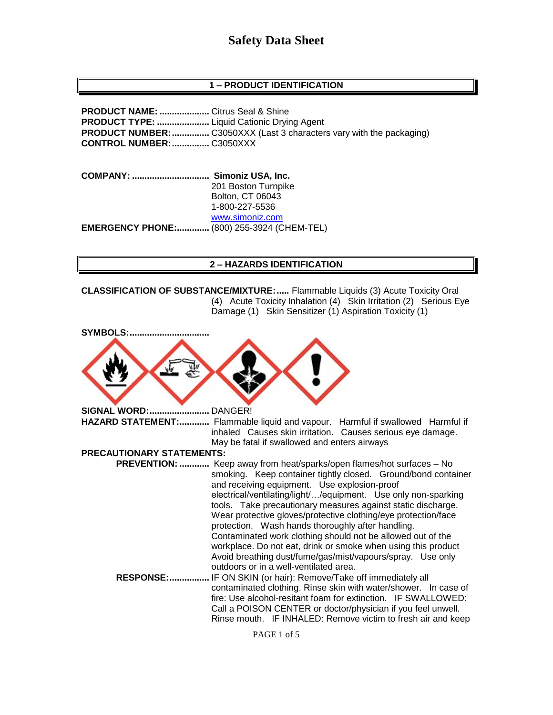## **1 – PRODUCT IDENTIFICATION**

**PRODUCT NAME: ....................** Citrus Seal & Shine **PRODUCT TYPE: .....................** Liquid Cationic Drying Agent **PRODUCT NUMBER:...............** C3050XXX (Last 3 characters vary with the packaging) **CONTROL NUMBER:...............** C3050XXX

**COMPANY: ............................... Simoniz USA, Inc.** 201 Boston Turnpike Bolton, CT 06043 1-800-227-5536 [www.simoniz.com](http://www.simoniz.com/) **EMERGENCY PHONE:.............** (800) 255-3924 (CHEM-TEL)

#### **2 – HAZARDS IDENTIFICATION**

**CLASSIFICATION OF SUBSTANCE/MIXTURE:.....** Flammable Liquids (3) Acute Toxicity Oral (4) Acute Toxicity Inhalation (4) Skin Irritation (2) Serious Eye Damage (1) Skin Sensitizer (1) Aspiration Toxicity (1)

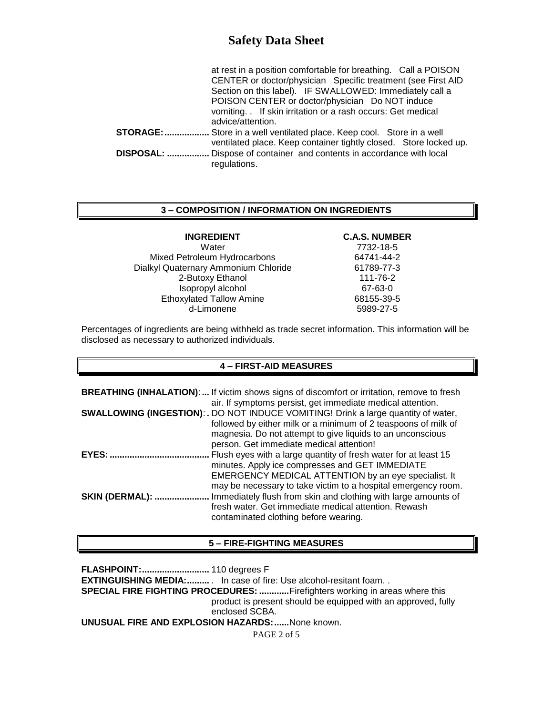|                   | at rest in a position comfortable for breathing. Call a POISON                |
|-------------------|-------------------------------------------------------------------------------|
|                   | CENTER or doctor/physician Specific treatment (see First AID                  |
|                   | Section on this label). IF SWALLOWED: Immediately call a                      |
|                   | POISON CENTER or doctor/physician Do NOT induce                               |
|                   | vomiting. If skin irritation or a rash occurs: Get medical                    |
|                   | advice/attention.                                                             |
|                   | <b>STORAGE: </b> Store in a well ventilated place. Keep cool. Store in a well |
|                   | ventilated place. Keep container tightly closed. Store locked up.             |
| <b>DISPOSAL: </b> | Dispose of container and contents in accordance with local                    |
|                   | regulations.                                                                  |

### **3 – COMPOSITION / INFORMATION ON INGREDIENTS**

| <b>INGREDIENT</b>                    | <b>C.A.S. NUMBER</b> |
|--------------------------------------|----------------------|
| Water                                | 7732-18-5            |
| Mixed Petroleum Hydrocarbons         | 64741-44-2           |
| Dialkyl Quaternary Ammonium Chloride | 61789-77-3           |
| 2-Butoxy Ethanol                     | 111-76-2             |
| Isopropyl alcohol                    | 67-63-0              |
| <b>Ethoxylated Tallow Amine</b>      | 68155-39-5           |
| d-Limonene                           | 5989-27-5            |

Percentages of ingredients are being withheld as trade secret information. This information will be disclosed as necessary to authorized individuals.

#### **4 – FIRST-AID MEASURES**

| <b>BREATHING (INHALATION):</b> If victim shows signs of discomfort or irritation, remove to fresh |
|---------------------------------------------------------------------------------------------------|
|                                                                                                   |
| <b>SWALLOWING (INGESTION): . DO NOT INDUCE VOMITING! Drink a large quantity of water,</b>         |
| followed by either milk or a minimum of 2 teaspoons of milk of                                    |
|                                                                                                   |
|                                                                                                   |
|                                                                                                   |
|                                                                                                   |
|                                                                                                   |
| may be necessary to take victim to a hospital emergency room.                                     |
| Immediately flush from skin and clothing with large amounts of                                    |
|                                                                                                   |
|                                                                                                   |
| EMERGENCY MEDICAL ATTENTION by an eye specialist. It                                              |

### **5 – FIRE-FIGHTING MEASURES**

**FLASHPOINT:...........................** 110 degrees F

**EXTINGUISHING MEDIA:..........** In case of fire: Use alcohol-resitant foam. .

**SPECIAL FIRE FIGHTING PROCEDURES: ............**Firefighters working in areas where this product is present should be equipped with an approved, fully

enclosed SCBA.

**UNUSUAL FIRE AND EXPLOSION HAZARDS:......**None known.

PAGE 2 of 5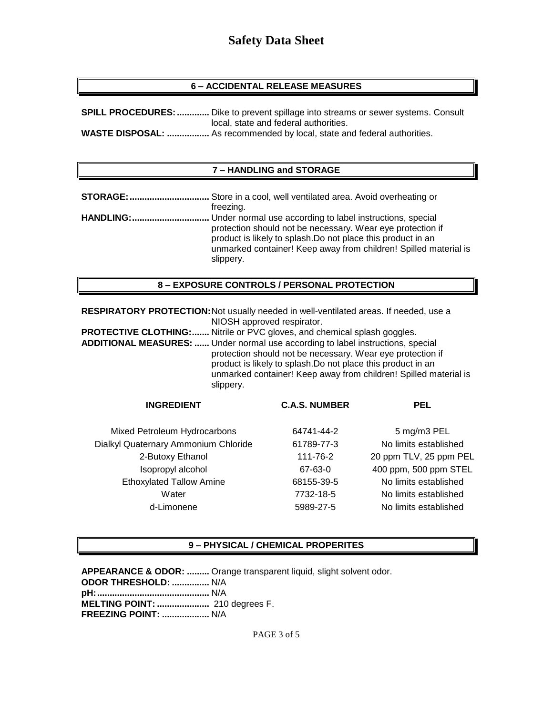### **6 – ACCIDENTAL RELEASE MEASURES**

| <b>SPILL PROCEDURES: </b> Dike to prevent spillage into streams or sewer systems. Consult |  |
|-------------------------------------------------------------------------------------------|--|
| local, state and federal authorities.                                                     |  |
| <b>WASTE DISPOSAL:  As recommended by local, state and federal authorities.</b>           |  |

#### **7 – HANDLING and STORAGE**

| STORAGE:         | Store in a cool, well ventilated area. Avoid overheating or                                                                                                                                                                                                              |
|------------------|--------------------------------------------------------------------------------------------------------------------------------------------------------------------------------------------------------------------------------------------------------------------------|
|                  | freezing.                                                                                                                                                                                                                                                                |
| <b>HANDLING:</b> | Under normal use according to label instructions, special<br>protection should not be necessary. Wear eye protection if<br>product is likely to splash. Do not place this product in an<br>unmarked container! Keep away from children! Spilled material is<br>slippery. |

### **8 – EXPOSURE CONTROLS / PERSONAL PROTECTION**

**RESPIRATORY PROTECTION:**Not usually needed in well-ventilated areas. If needed, use a NIOSH approved respirator.

**PROTECTIVE CLOTHING:.......** Nitrile or PVC gloves, and chemical splash goggles. **ADDITIONAL MEASURES: ......** Under normal use according to label instructions, special protection should not be necessary. Wear eye protection if product is likely to splash.Do not place this product in an unmarked container! Keep away from children! Spilled material is slippery.

| <b>C.A.S. NUMBER</b> | <b>PEL</b>             |
|----------------------|------------------------|
| 64741-44-2           | 5 mg/m3 PEL            |
| 61789-77-3           | No limits established  |
| 111-76-2             | 20 ppm TLV, 25 ppm PEL |
| 67-63-0              | 400 ppm, 500 ppm STEL  |
| 68155-39-5           | No limits established  |
| 7732-18-5            | No limits established  |
| 5989-27-5            | No limits established  |
|                      |                        |

#### **9 – PHYSICAL / CHEMICAL PROPERITES**

**APPEARANCE & ODOR: .........** Orange transparent liquid, slight solvent odor. **ODOR THRESHOLD: ...............** N/A **pH:.............................................** N/A **MELTING POINT: .....................** 210 degrees F. **FREEZING POINT: ...................** N/A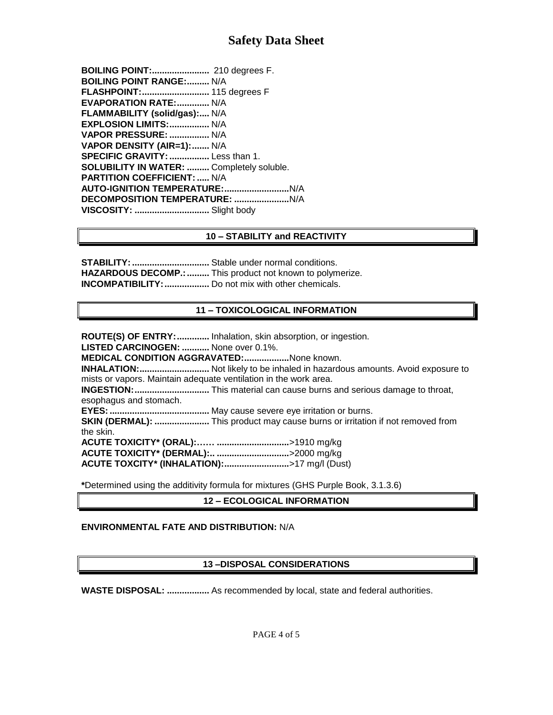**BOILING POINT:.......................** 210 degrees F. **BOILING POINT RANGE:.........** N/A **FLASHPOINT:...........................** 115 degrees F **EVAPORATION RATE:.............** N/A **FLAMMABILITY (solid/gas):....** N/A **EXPLOSION LIMITS:................** N/A **VAPOR PRESSURE: ................** N/A **VAPOR DENSITY (AIR=1):.......** N/A **SPECIFIC GRAVITY:................** Less than 1. **SOLUBILITY IN WATER: .........** Completely soluble. **PARTITION COEFFICIENT: .....** N/A **AUTO-IGNITION TEMPERATURE:..........................**N/A **DECOMPOSITION TEMPERATURE: ......................**N/A **VISCOSITY: ..............................** Slight body

## **10 – STABILITY and REACTIVITY**

**STABILITY:...............................** Stable under normal conditions. **HAZARDOUS DECOMP.:.........** This product not known to polymerize. **INCOMPATIBILITY:..................** Do not mix with other chemicals.

## **11 – TOXICOLOGICAL INFORMATION**

**ROUTE(S) OF ENTRY:.............** Inhalation, skin absorption, or ingestion. **LISTED CARCINOGEN: ...........** None over 0.1%. **MEDICAL CONDITION AGGRAVATED:..................**None known. **INHALATION:............................** Not likely to be inhaled in hazardous amounts. Avoid exposure to mists or vapors. Maintain adequate ventilation in the work area. **INGESTION:..............................** This material can cause burns and serious damage to throat, esophagus and stomach. **EYES:........................................** May cause severe eye irritation or burns. **SKIN (DERMAL): ......................** This product may cause burns or irritation if not removed from the skin. **ACUTE TOXICITY\* (ORAL):…… .............................**>1910 mg/kg **ACUTE TOXICITY\* (DERMAL):.. .............................**>2000 mg/kg **ACUTE TOXCITY\* (INHALATION):..........................**>17 mg/l (Dust)

**\***Determined using the additivity formula for mixtures (GHS Purple Book, 3.1.3.6)

## **12 – ECOLOGICAL INFORMATION**

## **ENVIRONMENTAL FATE AND DISTRIBUTION:** N/A

# **13 –DISPOSAL CONSIDERATIONS**

**WASTE DISPOSAL: .................** As recommended by local, state and federal authorities.